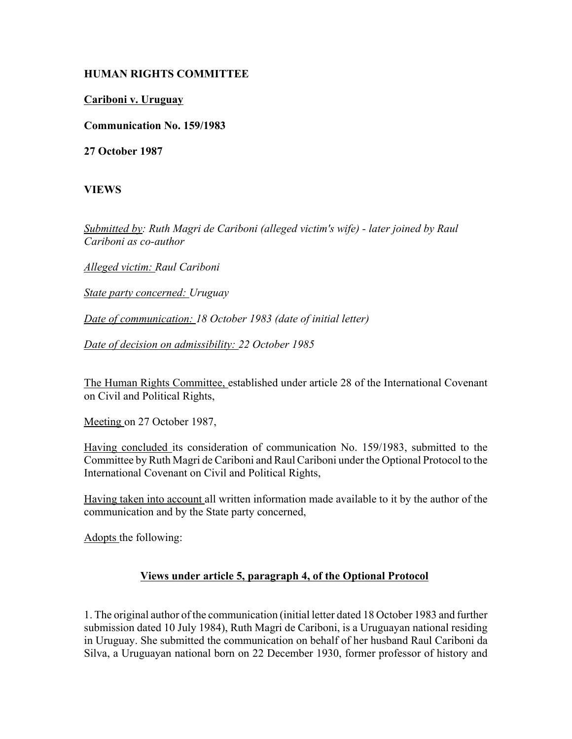## **HUMAN RIGHTS COMMITTEE**

## **Cariboni v. Uruguay**

**Communication No. 159/1983**

**27 October 1987**

**VIEWS**

*Submitted by: Ruth Magri de Cariboni (alleged victim's wife) - later joined by Raul Cariboni as co-author* 

*Alleged victim: Raul Cariboni* 

*State party concerned: Uruguay* 

*Date of communication: 18 October 1983 (date of initial letter)* 

*Date of decision on admissibility: 22 October 1985* 

The Human Rights Committee, established under article 28 of the International Covenant on Civil and Political Rights,

Meeting on 27 October 1987,

Having concluded its consideration of communication No. 159/1983, submitted to the Committee by Ruth Magri de Cariboni and Raul Cariboni under the Optional Protocol to the International Covenant on Civil and Political Rights,

Having taken into account all written information made available to it by the author of the communication and by the State party concerned,

Adopts the following:

## **Views under article 5, paragraph 4, of the Optional Protocol**

1. The original author of the communication (initial letter dated 18 October 1983 and further submission dated 10 July 1984), Ruth Magri de Cariboni, is a Uruguayan national residing in Uruguay. She submitted the communication on behalf of her husband Raul Cariboni da Silva, a Uruguayan national born on 22 December 1930, former professor of history and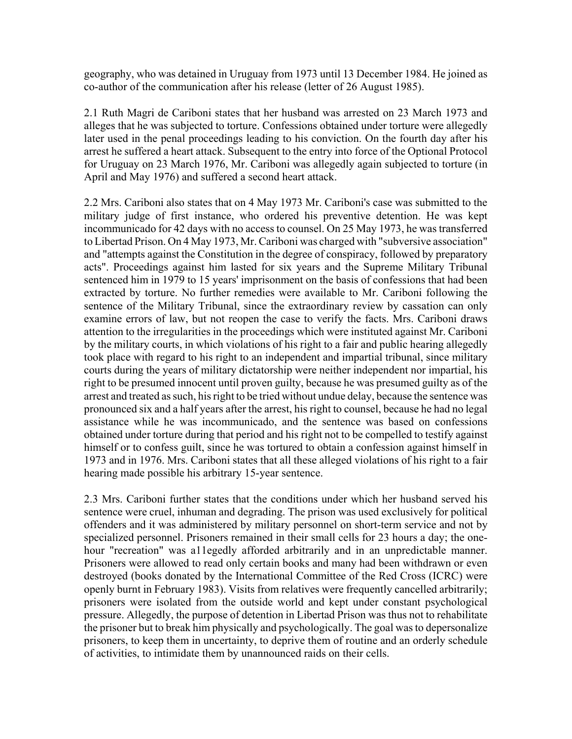geography, who was detained in Uruguay from 1973 until 13 December 1984. He joined as co-author of the communication after his release (letter of 26 August 1985).

2.1 Ruth Magri de Cariboni states that her husband was arrested on 23 March 1973 and alleges that he was subjected to torture. Confessions obtained under torture were allegedly later used in the penal proceedings leading to his conviction. On the fourth day after his arrest he suffered a heart attack. Subsequent to the entry into force of the Optional Protocol for Uruguay on 23 March 1976, Mr. Cariboni was allegedly again subjected to torture (in April and May 1976) and suffered a second heart attack.

2.2 Mrs. Cariboni also states that on 4 May 1973 Mr. Cariboni's case was submitted to the military judge of first instance, who ordered his preventive detention. He was kept incommunicado for 42 days with no access to counsel. On 25 May 1973, he was transferred to Libertad Prison. On 4 May 1973, Mr. Cariboni was charged with "subversive association" and "attempts against the Constitution in the degree of conspiracy, followed by preparatory acts". Proceedings against him lasted for six years and the Supreme Military Tribunal sentenced him in 1979 to 15 years' imprisonment on the basis of confessions that had been extracted by torture. No further remedies were available to Mr. Cariboni following the sentence of the Military Tribunal, since the extraordinary review by cassation can only examine errors of law, but not reopen the case to verify the facts. Mrs. Cariboni draws attention to the irregularities in the proceedings which were instituted against Mr. Cariboni by the military courts, in which violations of his right to a fair and public hearing allegedly took place with regard to his right to an independent and impartial tribunal, since military courts during the years of military dictatorship were neither independent nor impartial, his right to be presumed innocent until proven guilty, because he was presumed guilty as of the arrest and treated as such, his right to be tried without undue delay, because the sentence was pronounced six and a half years after the arrest, his right to counsel, because he had no legal assistance while he was incommunicado, and the sentence was based on confessions obtained under torture during that period and his right not to be compelled to testify against himself or to confess guilt, since he was tortured to obtain a confession against himself in 1973 and in 1976. Mrs. Cariboni states that all these alleged violations of his right to a fair hearing made possible his arbitrary 15-year sentence.

2.3 Mrs. Cariboni further states that the conditions under which her husband served his sentence were cruel, inhuman and degrading. The prison was used exclusively for political offenders and it was administered by military personnel on short-term service and not by specialized personnel. Prisoners remained in their small cells for 23 hours a day; the onehour "recreation" was a11egedly afforded arbitrarily and in an unpredictable manner. Prisoners were allowed to read only certain books and many had been withdrawn or even destroyed (books donated by the International Committee of the Red Cross (ICRC) were openly burnt in February 1983). Visits from relatives were frequently cancelled arbitrarily; prisoners were isolated from the outside world and kept under constant psychological pressure. Allegedly, the purpose of detention in Libertad Prison was thus not to rehabilitate the prisoner but to break him physically and psychologically. The goal was to depersonalize prisoners, to keep them in uncertainty, to deprive them of routine and an orderly schedule of activities, to intimidate them by unannounced raids on their cells.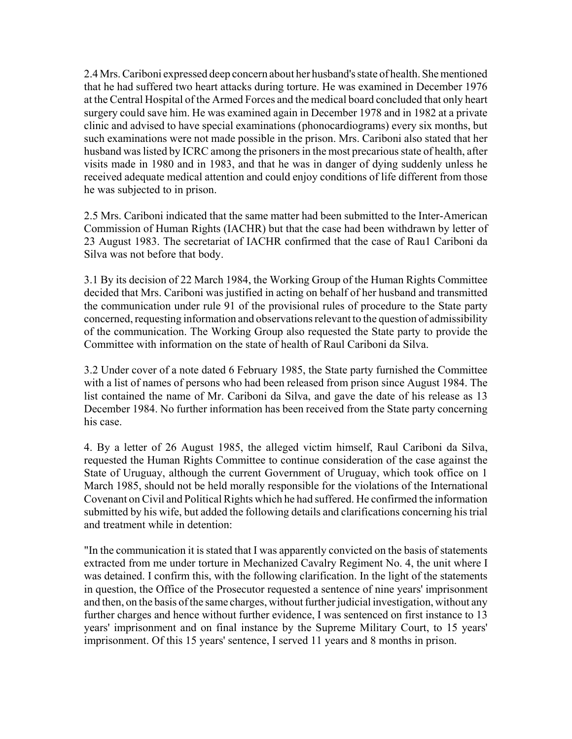2.4 Mrs. Cariboni expressed deep concern about her husband's state of health. She mentioned that he had suffered two heart attacks during torture. He was examined in December 1976 at the Central Hospital of the Armed Forces and the medical board concluded that only heart surgery could save him. He was examined again in December 1978 and in 1982 at a private clinic and advised to have special examinations (phonocardiograms) every six months, but such examinations were not made possible in the prison. Mrs. Cariboni also stated that her husband was listed by ICRC among the prisoners in the most precarious state of health, after visits made in 1980 and in 1983, and that he was in danger of dying suddenly unless he received adequate medical attention and could enjoy conditions of life different from those he was subjected to in prison.

2.5 Mrs. Cariboni indicated that the same matter had been submitted to the Inter-American Commission of Human Rights (IACHR) but that the case had been withdrawn by letter of 23 August 1983. The secretariat of IACHR confirmed that the case of Rau1 Cariboni da Silva was not before that body.

3.1 By its decision of 22 March 1984, the Working Group of the Human Rights Committee decided that Mrs. Cariboni was justified in acting on behalf of her husband and transmitted the communication under rule 91 of the provisional rules of procedure to the State party concerned, requesting information and observations relevant to the question of admissibility of the communication. The Working Group also requested the State party to provide the Committee with information on the state of health of Raul Cariboni da Silva.

3.2 Under cover of a note dated 6 February 1985, the State party furnished the Committee with a list of names of persons who had been released from prison since August 1984. The list contained the name of Mr. Cariboni da Silva, and gave the date of his release as 13 December 1984. No further information has been received from the State party concerning his case.

4. By a letter of 26 August 1985, the alleged victim himself, Raul Cariboni da Silva, requested the Human Rights Committee to continue consideration of the case against the State of Uruguay, although the current Government of Uruguay, which took office on 1 March 1985, should not be held morally responsible for the violations of the International Covenant on Civil and Political Rights which he had suffered. He confirmed the information submitted by his wife, but added the following details and clarifications concerning his trial and treatment while in detention:

"In the communication it is stated that I was apparently convicted on the basis of statements extracted from me under torture in Mechanized Cavalry Regiment No. 4, the unit where I was detained. I confirm this, with the following clarification. In the light of the statements in question, the Office of the Prosecutor requested a sentence of nine years' imprisonment and then, on the basis of the same charges, without further judicial investigation, without any further charges and hence without further evidence, I was sentenced on first instance to 13 years' imprisonment and on final instance by the Supreme Military Court, to 15 years' imprisonment. Of this 15 years' sentence, I served 11 years and 8 months in prison.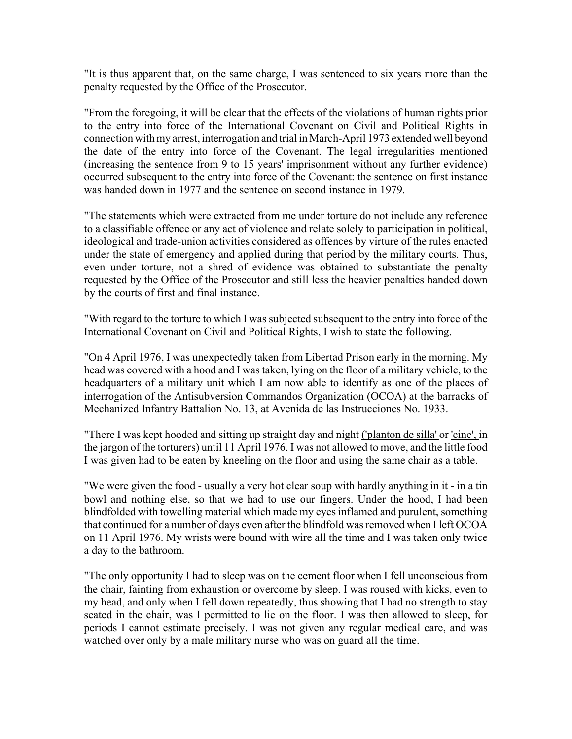"It is thus apparent that, on the same charge, I was sentenced to six years more than the penalty requested by the Office of the Prosecutor.

"From the foregoing, it will be clear that the effects of the violations of human rights prior to the entry into force of the International Covenant on Civil and Political Rights in connection with my arrest, interrogation and trial in March-April 1973 extended well beyond the date of the entry into force of the Covenant. The legal irregularities mentioned (increasing the sentence from 9 to 15 years' imprisonment without any further evidence) occurred subsequent to the entry into force of the Covenant: the sentence on first instance was handed down in 1977 and the sentence on second instance in 1979.

"The statements which were extracted from me under torture do not include any reference to a classifiable offence or any act of violence and relate solely to participation in political, ideological and trade-union activities considered as offences by virture of the rules enacted under the state of emergency and applied during that period by the military courts. Thus, even under torture, not a shred of evidence was obtained to substantiate the penalty requested by the Office of the Prosecutor and still less the heavier penalties handed down by the courts of first and final instance.

"With regard to the torture to which I was subjected subsequent to the entry into force of the International Covenant on Civil and Political Rights, I wish to state the following.

"On 4 April 1976, I was unexpectedly taken from Libertad Prison early in the morning. My head was covered with a hood and I was taken, lying on the floor of a military vehicle, to the headquarters of a military unit which I am now able to identify as one of the places of interrogation of the Antisubversion Commandos Organization (OCOA) at the barracks of Mechanized Infantry Battalion No. 13, at Avenida de las Instrucciones No. 1933.

"There I was kept hooded and sitting up straight day and night ('planton de silla' or 'cine', in the jargon of the torturers) until 11 April 1976. I was not allowed to move, and the little food I was given had to be eaten by kneeling on the floor and using the same chair as a table.

"We were given the food - usually a very hot clear soup with hardly anything in it - in a tin bowl and nothing else, so that we had to use our fingers. Under the hood, I had been blindfolded with towelling material which made my eyes inflamed and purulent, something that continued for a number of days even after the blindfold was removed when I left OCOA on 11 April 1976. My wrists were bound with wire all the time and I was taken only twice a day to the bathroom.

"The only opportunity I had to sleep was on the cement floor when I fell unconscious from the chair, fainting from exhaustion or overcome by sleep. I was roused with kicks, even to my head, and only when I fell down repeatedly, thus showing that I had no strength to stay seated in the chair, was I permitted to lie on the floor. I was then allowed to sleep, for periods I cannot estimate precisely. I was not given any regular medical care, and was watched over only by a male military nurse who was on guard all the time.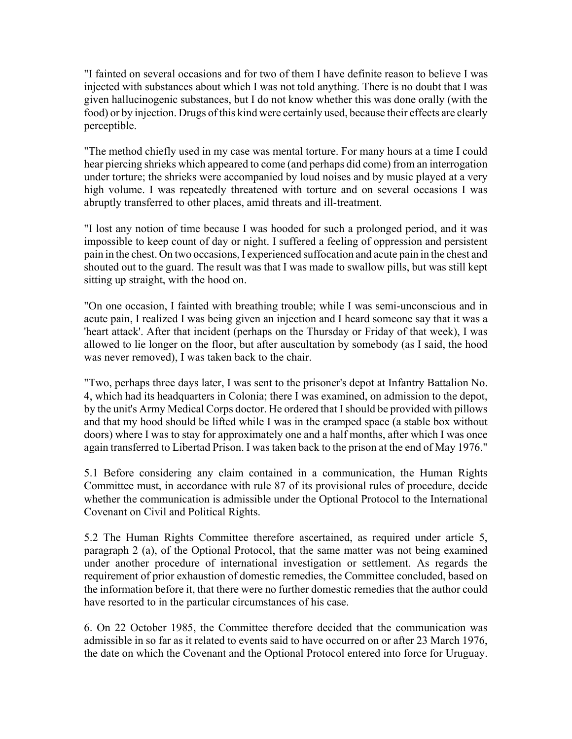"I fainted on several occasions and for two of them I have definite reason to believe I was injected with substances about which I was not told anything. There is no doubt that I was given hallucinogenic substances, but I do not know whether this was done orally (with the food) or by injection. Drugs of this kind were certainly used, because their effects are clearly perceptible.

"The method chiefly used in my case was mental torture. For many hours at a time I could hear piercing shrieks which appeared to come (and perhaps did come) from an interrogation under torture; the shrieks were accompanied by loud noises and by music played at a very high volume. I was repeatedly threatened with torture and on several occasions I was abruptly transferred to other places, amid threats and ill-treatment.

"I lost any notion of time because I was hooded for such a prolonged period, and it was impossible to keep count of day or night. I suffered a feeling of oppression and persistent pain in the chest. On two occasions, I experienced suffocation and acute pain in the chest and shouted out to the guard. The result was that I was made to swallow pills, but was still kept sitting up straight, with the hood on.

"On one occasion, I fainted with breathing trouble; while I was semi-unconscious and in acute pain, I realized I was being given an injection and I heard someone say that it was a 'heart attack'. After that incident (perhaps on the Thursday or Friday of that week), I was allowed to lie longer on the floor, but after auscultation by somebody (as I said, the hood was never removed), I was taken back to the chair.

"Two, perhaps three days later, I was sent to the prisoner's depot at Infantry Battalion No. 4, which had its headquarters in Colonia; there I was examined, on admission to the depot, by the unit's Army Medical Corps doctor. He ordered that I should be provided with pillows and that my hood should be lifted while I was in the cramped space (a stable box without doors) where I was to stay for approximately one and a half months, after which I was once again transferred to Libertad Prison. I was taken back to the prison at the end of May 1976."

5.1 Before considering any claim contained in a communication, the Human Rights Committee must, in accordance with rule 87 of its provisional rules of procedure, decide whether the communication is admissible under the Optional Protocol to the International Covenant on Civil and Political Rights.

5.2 The Human Rights Committee therefore ascertained, as required under article 5, paragraph 2 (a), of the Optional Protocol, that the same matter was not being examined under another procedure of international investigation or settlement. As regards the requirement of prior exhaustion of domestic remedies, the Committee concluded, based on the information before it, that there were no further domestic remedies that the author could have resorted to in the particular circumstances of his case.

6. On 22 October 1985, the Committee therefore decided that the communication was admissible in so far as it related to events said to have occurred on or after 23 March 1976, the date on which the Covenant and the Optional Protocol entered into force for Uruguay.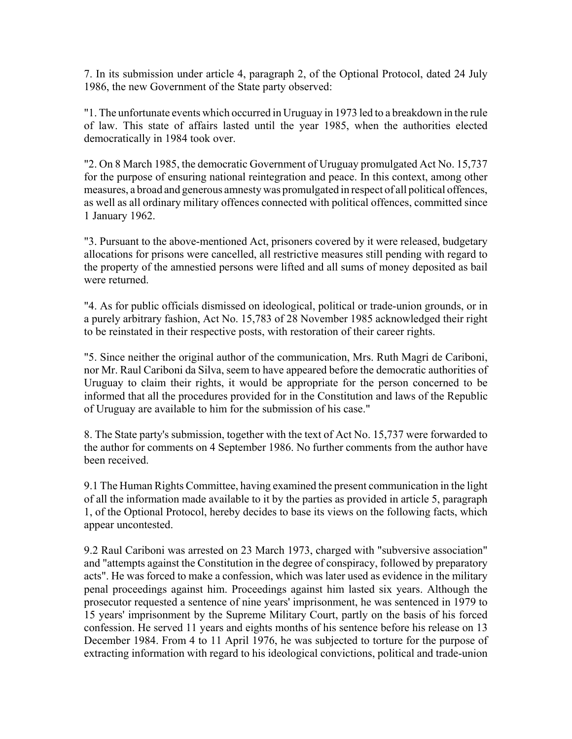7. In its submission under article 4, paragraph 2, of the Optional Protocol, dated 24 July 1986, the new Government of the State party observed:

"1. The unfortunate events which occurred in Uruguay in 1973 led to a breakdown in the rule of law. This state of affairs lasted until the year 1985, when the authorities elected democratically in 1984 took over.

"2. On 8 March 1985, the democratic Government of Uruguay promulgated Act No. 15,737 for the purpose of ensuring national reintegration and peace. In this context, among other measures, a broad and generous amnesty was promulgated in respect of all political offences, as well as all ordinary military offences connected with political offences, committed since 1 January 1962.

"3. Pursuant to the above-mentioned Act, prisoners covered by it were released, budgetary allocations for prisons were cancelled, all restrictive measures still pending with regard to the property of the amnestied persons were lifted and all sums of money deposited as bail were returned.

"4. As for public officials dismissed on ideological, political or trade-union grounds, or in a purely arbitrary fashion, Act No. 15,783 of 28 November 1985 acknowledged their right to be reinstated in their respective posts, with restoration of their career rights.

"5. Since neither the original author of the communication, Mrs. Ruth Magri de Cariboni, nor Mr. Raul Cariboni da Silva, seem to have appeared before the democratic authorities of Uruguay to claim their rights, it would be appropriate for the person concerned to be informed that all the procedures provided for in the Constitution and laws of the Republic of Uruguay are available to him for the submission of his case."

8. The State party's submission, together with the text of Act No. 15,737 were forwarded to the author for comments on 4 September 1986. No further comments from the author have been received.

9.1 The Human Rights Committee, having examined the present communication in the light of all the information made available to it by the parties as provided in article 5, paragraph 1, of the Optional Protocol, hereby decides to base its views on the following facts, which appear uncontested.

9.2 Raul Cariboni was arrested on 23 March 1973, charged with "subversive association" and "attempts against the Constitution in the degree of conspiracy, followed by preparatory acts". He was forced to make a confession, which was later used as evidence in the military penal proceedings against him. Proceedings against him lasted six years. Although the prosecutor requested a sentence of nine years' imprisonment, he was sentenced in 1979 to 15 years' imprisonment by the Supreme Military Court, partly on the basis of his forced confession. He served 11 years and eights months of his sentence before his release on 13 December 1984. From 4 to 11 April 1976, he was subjected to torture for the purpose of extracting information with regard to his ideological convictions, political and trade-union